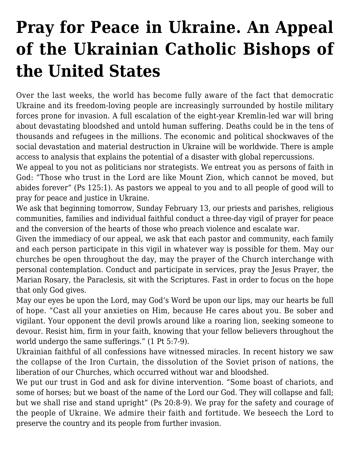## **[Pray for Peace in Ukraine. An Appeal](https://ukrarcheparchy.us/church-news/pray-for-peace-in-ukraine-an-appeal-of-the-ukrainian-catholic-bishops-of-the-united-states) [of the Ukrainian Catholic Bishops of](https://ukrarcheparchy.us/church-news/pray-for-peace-in-ukraine-an-appeal-of-the-ukrainian-catholic-bishops-of-the-united-states) [the United States](https://ukrarcheparchy.us/church-news/pray-for-peace-in-ukraine-an-appeal-of-the-ukrainian-catholic-bishops-of-the-united-states)**

Over the last weeks, the world has become fully aware of the fact that democratic Ukraine and its freedom-loving people are increasingly surrounded by hostile military forces prone for invasion. A full escalation of the eight-year Kremlin-led war will bring about devastating bloodshed and untold human suffering. Deaths could be in the tens of thousands and refugees in the millions. The economic and political shockwaves of the social devastation and material destruction in Ukraine will be worldwide. There is ample access to analysis that explains the potential of a disaster with global repercussions.

We appeal to you not as politicians nor strategists. We entreat you as persons of faith in God: "Those who trust in the Lord are like Mount Zion, which cannot be moved, but abides forever" (Ps 125:1). As pastors we appeal to you and to all people of good will to pray for peace and justice in Ukraine.

We ask that beginning tomorrow, Sunday February 13, our priests and parishes, religious communities, families and individual faithful conduct a three-day vigil of prayer for peace and the conversion of the hearts of those who preach violence and escalate war.

Given the immediacy of our appeal, we ask that each pastor and community, each family and each person participate in this vigil in whatever way is possible for them. May our churches be open throughout the day, may the prayer of the Church interchange with personal contemplation. Conduct and participate in services, pray the Jesus Prayer, the Marian Rosary, the Paraclesis, sit with the Scriptures. Fast in order to focus on the hope that only God gives.

May our eyes be upon the Lord, may God's Word be upon our lips, may our hearts be full of hope. "Cast all your anxieties on Him, because He cares about you. Be sober and vigilant. Your opponent the devil prowls around like a roaring lion, seeking someone to devour. Resist him, firm in your faith, knowing that your fellow believers throughout the world undergo the same sufferings." (1 Pt 5:7-9).

Ukrainian faithful of all confessions have witnessed miracles. In recent history we saw the collapse of the Iron Curtain, the dissolution of the Soviet prison of nations, the liberation of our Churches, which occurred without war and bloodshed.

We put our trust in God and ask for divine intervention. "Some boast of chariots, and some of horses; but we boast of the name of the Lord our God. They will collapse and fall; but we shall rise and stand upright" (Ps 20:8-9). We pray for the safety and courage of the people of Ukraine. We admire their faith and fortitude. We beseech the Lord to preserve the country and its people from further invasion.